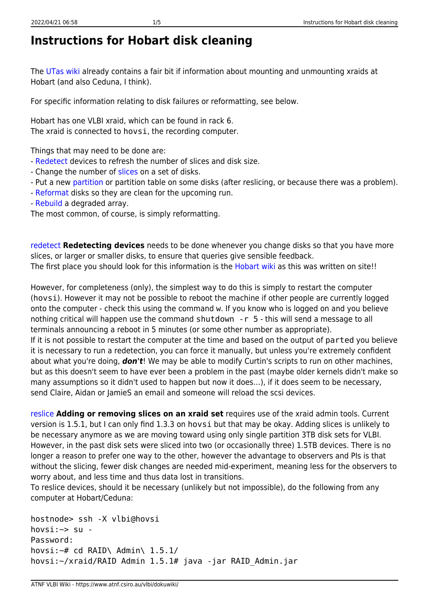## **Instructions for Hobart disk cleaning**

The [UTas wiki](http://www-ra.phys.utas.edu.au/wiki/index.php?n=Main.Disk-BasedRecording) already contains a fair bit if information about mounting and unmounting xraids at Hobart (and also Ceduna, I think).

For specific information relating to disk failures or reformatting, see below.

Hobart has one VLBI xraid, which can be found in rack 6. The xraid is connected to hovsi, the recording computer.

Things that may need to be done are:

- - [Redetect](https://www.atnf.csiro.au/vlbi/dokuwiki/doku.php/lbaops/lbaobservingnotes#redetect) devices to refresh the number of slices and disk size.
- Change the number of [slices o](https://www.atnf.csiro.au/vlbi/dokuwiki/doku.php/lbaops/lbaobservingnotes#reslice)n a set of disks.
- Put a new [partition](https://www.atnf.csiro.au/vlbi/dokuwiki/doku.php/lbaops/lbaobservingnotes#repartition) or partition table on some disks (after reslicing, or because there was a problem).
- - [Reformat](https://www.atnf.csiro.au/vlbi/dokuwiki/doku.php/lbaops/lbaobservingnotes#reformat) disks so they are clean for the upcoming run.
- - [Rebuild](https://www.atnf.csiro.au/vlbi/dokuwiki/doku.php/lbaops/lbaobservingnotes#rebuild) a degraded array.

The most common, of course, is simply reformatting.

[redetect](https://www.atnf.csiro.au/vlbi/dokuwiki/doku.php/lbaops/lbaobservingnotes#redetect) **Redetecting devices** needs to be done whenever you change disks so that you have more slices, or larger or smaller disks, to ensure that queries give sensible feedback. The first place you should look for this information is the [Hobart wiki](http://www-ra.phys.utas.edu.au/wiki/index.php?n=Main.Disk-BasedRecording) as this was written on site!!

However, for completeness (only), the simplest way to do this is simply to restart the computer (hovsi). However it may not be possible to reboot the machine if other people are currently logged onto the computer - check this using the command w. If you know who is logged on and you believe nothing critical will happen use the command shutdown -r 5 - this will send a message to all terminals announcing a reboot in 5 minutes (or some other number as appropriate). If it is not possible to restart the computer at the time and based on the output of parted you believe it is necessary to run a redetection, you can force it manually, but unless you're extremely confident about what you're doing, *don't*! We may be able to modify Curtin's scripts to run on other machines,

but as this doesn't seem to have ever been a problem in the past (maybe older kernels didn't make so many assumptions so it didn't used to happen but now it does…), if it does seem to be necessary, send Claire, Aidan or JamieS an email and someone will reload the scsi devices.

[reslice](https://www.atnf.csiro.au/vlbi/dokuwiki/doku.php/lbaops/lbaobservingnotes#reslice) **Adding or removing slices on an xraid set** requires use of the xraid admin tools. Current version is 1.5.1, but I can only find 1.3.3 on hovsi but that may be okay. Adding slices is unlikely to be necessary anymore as we are moving toward using only single partition 3TB disk sets for VLBI. However, in the past disk sets were sliced into two (or occasionally three) 1.5TB devices. There is no longer a reason to prefer one way to the other, however the advantage to observers and PIs is that without the slicing, fewer disk changes are needed mid-experiment, meaning less for the observers to worry about, and less time and thus data lost in transitions.

To reslice devices, should it be necessary (unlikely but not impossible), do the following from any computer at Hobart/Ceduna:

hostnode> ssh -X vlbi@hovsi hovsi:~> su - Password: hovsi:~# cd RAID\ Admin\ 1.5.1/ hovsi:~/xraid/RAID Admin 1.5.1# java -jar RAID\_Admin.jar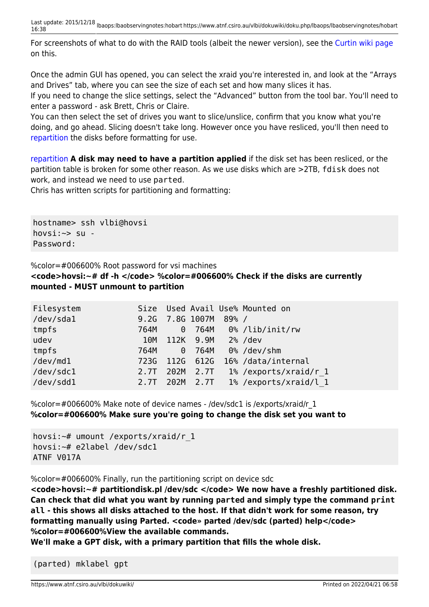For screenshots of what to do with the RAID tools (albeit the newer version), see the [Curtin wiki page](http://cira.ivec.org/dokuwiki/doku.php/correlator/createnew) on this.

Once the admin GUI has opened, you can select the xraid you're interested in, and look at the "Arrays and Drives" tab, where you can see the size of each set and how many slices it has.

If you need to change the slice settings, select the "Advanced" button from the tool bar. You'll need to enter a password - ask Brett, Chris or Claire.

You can then select the set of drives you want to slice/unslice, confirm that you know what you're doing, and go ahead. Slicing doesn't take long. However once you have resliced, you'll then need to [repartition](https://www.atnf.csiro.au/vlbi/dokuwiki/doku.php/lbaops/lbaobservingnotes#repartition) the disks before formatting for use.

[repartition](https://www.atnf.csiro.au/vlbi/dokuwiki/doku.php/lbaops/lbaobservingnotes#repartition) **A disk may need to have a partition applied** if the disk set has been resliced, or the partition table is broken for some other reason. As we use disks which are >2TB, fdisk does not work, and instead we need to use parted.

Chris has written scripts for partitioning and formatting:

hostname> ssh vlbi@hovsi hovsi:~> su - Password:

%color=#006600% Root password for vsi machines  $<$ code>hovsi:~# df -h </code> %color=#006600% Check if the disks are currently **mounted - MUST unmount to partition**

| Filesystem |      |      |                 |         | Size Used Avail Use% Mounted on |
|------------|------|------|-----------------|---------|---------------------------------|
| /dev/sda1  |      |      | 9.2G 7.8G 1007M | $89%$ / |                                 |
| tmpfs      | 764M | 0    | 764M            |         | 0% /lib/init/rw                 |
| udev       | 10M  |      | 112K 9.9M       |         | $2\%$ /dev                      |
| tmpfs      | 764M | 0    | 764M            |         | 0% /dev/shm                     |
| /dev/md1   | 723G | 112G | 612G            |         | 16% /data/internal              |
| /dev/sdc1  | 2.7T | 202M | 2.7T            |         | 1% /exports/xraid/r 1           |
| /dev/sdd1  | 2.7T | 202M | 2.7T            |         | 1% /exports/xraid/l 1           |

%color=#006600% Make note of device names - /dev/sdc1 is /exports/xraid/r\_1 **%color=#006600% Make sure you're going to change the disk set you want to**

hovsi:~# umount /exports/xraid/r\_1 hovsi:~# e2label /dev/sdc1 ATNF V017A

%color=#006600% Finally, run the partitioning script on device sdc

**<code>hovsi:~# partitiondisk.pl /dev/sdc </code> We now have a freshly partitioned disk. Can check that did what you want by running parted and simply type the command print all - this shows all disks attached to the host. If that didn't work for some reason, try formatting manually using Parted. <code» parted /dev/sdc (parted) help</code> %color=#006600%View the available commands.**

**We'll make a GPT disk, with a primary partition that fills the whole disk.**

(parted) mklabel gpt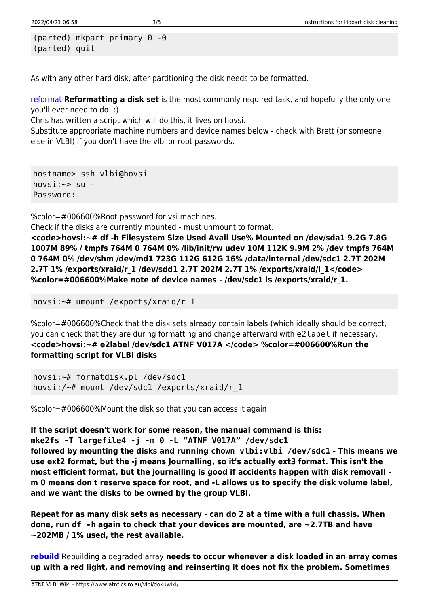(parted) mkpart primary 0 -0 (parted) quit

As with any other hard disk, after partitioning the disk needs to be formatted.

[reformat](https://www.atnf.csiro.au/vlbi/dokuwiki/doku.php/lbaops/lbaobservingnotes#reformat) **Reformatting a disk set** is the most commonly required task, and hopefully the only one you'll ever need to do! :)

Chris has written a script which will do this, it lives on hovsi.

Substitute appropriate machine numbers and device names below - check with Brett (or someone else in VLBI) if you don't have the vlbi or root passwords.

hostname> ssh vlbi@hovsi hovsi:~> su - Password:

%color=#006600%Root password for vsi machines.

Check if the disks are currently mounted - must unmount to format.

**<code>hovsi:~# df -h Filesystem Size Used Avail Use% Mounted on /dev/sda1 9.2G 7.8G 1007M 89% / tmpfs 764M 0 764M 0% /lib/init/rw udev 10M 112K 9.9M 2% /dev tmpfs 764M 0 764M 0% /dev/shm /dev/md1 723G 112G 612G 16% /data/internal /dev/sdc1 2.7T 202M 2.7T 1% /exports/xraid/r\_1 /dev/sdd1 2.7T 202M 2.7T 1% /exports/xraid/l\_1</code> %color=#006600%Make note of device names - /dev/sdc1 is /exports/xraid/r\_1.**

hovsi:~# umount /exports/xraid/r\_1

%color=#006600%Check that the disk sets already contain labels (which ideally should be correct, you can check that they are during formatting and change afterward with e2label if necessary. **<code>hovsi:~# e2label /dev/sdc1 ATNF V017A </code> %color=#006600%Run the formatting script for VLBI disks**

hovsi:~# formatdisk.pl /dev/sdc1 hovsi:/~# mount /dev/sdc1 /exports/xraid/r\_1

%color=#006600%Mount the disk so that you can access it again

## **If the script doesn't work for some reason, the manual command is this:**

**mke2fs -T largefile4 -j -m 0 -L "ATNF V017A" /dev/sdc1 followed by mounting the disks and running chown vlbi:vlbi /dev/sdc1 - This means we use ext2 format, but the -j means Journalling, so it's actually ext3 format. This isn't the most efficient format, but the journalling is good if accidents happen with disk removal! m 0 means don't reserve space for root, and -L allows us to specify the disk volume label, and we want the disks to be owned by the group VLBI.**

**Repeat for as many disk sets as necessary - can do 2 at a time with a full chassis. When done, run df -h again to check that your devices are mounted, are ~2.7TB and have ~202MB / 1% used, the rest available.**

**[rebuild](https://www.atnf.csiro.au/vlbi/dokuwiki/doku.php/lbaops/lbaobservingnotes#rebuild)** Rebuilding a degraded array **needs to occur whenever a disk loaded in an array comes up with a red light, and removing and reinserting it does not fix the problem. Sometimes**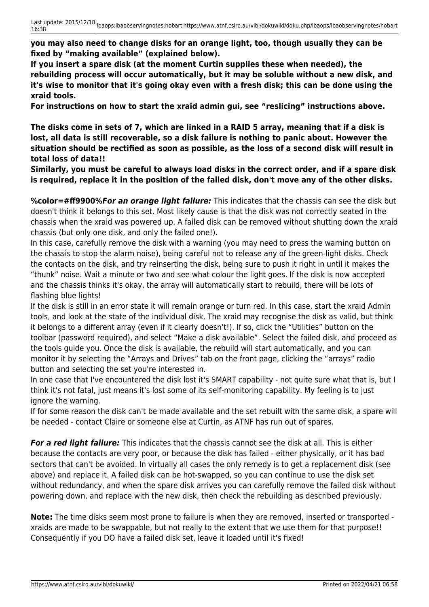**you may also need to change disks for an orange light, too, though usually they can be fixed by "making available" (explained below).**

**If you insert a spare disk (at the moment Curtin supplies these when needed), the rebuilding process will occur automatically, but it may be soluble without a new disk, and it's wise to monitor that it's going okay even with a fresh disk; this can be done using the xraid tools.**

**For instructions on how to start the xraid admin gui, see "reslicing" instructions above.**

**The disks come in sets of 7, which are linked in a RAID 5 array, meaning that if a disk is lost, all data is still recoverable, so a disk failure is nothing to panic about. However the situation should be rectified as soon as possible, as the loss of a second disk will result in total loss of data!!**

**Similarly, you must be careful to always load disks in the correct order, and if a spare disk is required, replace it in the position of the failed disk, don't move any of the other disks.**

**%color=#ff9900%***For an orange light failure:* This indicates that the chassis can see the disk but doesn't think it belongs to this set. Most likely cause is that the disk was not correctly seated in the chassis when the xraid was powered up. A failed disk can be removed without shutting down the xraid chassis (but only one disk, and only the failed one!).

In this case, carefully remove the disk with a warning (you may need to press the warning button on the chassis to stop the alarm noise), being careful not to release any of the green-light disks. Check the contacts on the disk, and try reinserting the disk, being sure to push it right in until it makes the "thunk" noise. Wait a minute or two and see what colour the light goes. If the disk is now accepted and the chassis thinks it's okay, the array will automatically start to rebuild, there will be lots of flashing blue lights!

If the disk is still in an error state it will remain orange or turn red. In this case, start the xraid Admin tools, and look at the state of the individual disk. The xraid may recognise the disk as valid, but think it belongs to a different array (even if it clearly doesn't!). If so, click the "Utilities" button on the toolbar (password required), and select "Make a disk available". Select the failed disk, and proceed as the tools guide you. Once the disk is available, the rebuild will start automatically, and you can monitor it by selecting the "Arrays and Drives" tab on the front page, clicking the "arrays" radio button and selecting the set you're interested in.

In one case that I've encountered the disk lost it's SMART capability - not quite sure what that is, but I think it's not fatal, just means it's lost some of its self-monitoring capability. My feeling is to just ignore the warning.

If for some reason the disk can't be made available and the set rebuilt with the same disk, a spare will be needed - contact Claire or someone else at Curtin, as ATNF has run out of spares.

*For a red light failure:* This indicates that the chassis cannot see the disk at all. This is either because the contacts are very poor, or because the disk has failed - either physically, or it has bad sectors that can't be avoided. In virtually all cases the only remedy is to get a replacement disk (see above) and replace it. A failed disk can be hot-swapped, so you can continue to use the disk set without redundancy, and when the spare disk arrives you can carefully remove the failed disk without powering down, and replace with the new disk, then check the rebuilding as described previously.

**Note:** The time disks seem most prone to failure is when they are removed, inserted or transported xraids are made to be swappable, but not really to the extent that we use them for that purpose!! Consequently if you DO have a failed disk set, leave it loaded until it's fixed!